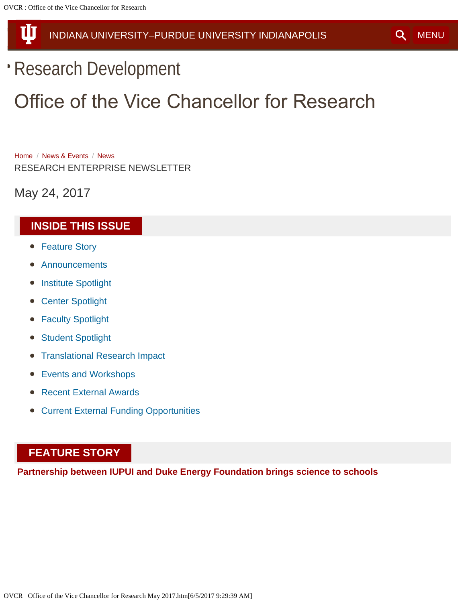<span id="page-0-1"></span>Ш

# [INDIANA UNIVERSITY–PURDUE UNIVERSITY INDIANAPOLIS](http://www.iupui.edu/) GENERAL [MENU](#page-0-1)

# [Research Development](file:///index.php)

# Office of the Vice Chancellor for Research

[Home](file:///index.php) / [News & Events](file:///index.php/news-events) / [News](file:///index.php/news-events/news) RESEARCH ENTERPRISE NEWSLETTER

May 24, 2017

# <span id="page-0-2"></span>**INSIDE THIS ISSUE**

- [Feature Story](#page-0-0)
- [Announcements](#page-3-0)
- **[Institute Spotlight](#page-6-0)**
- [Center Spotlight](#page-8-0)
- **[Faculty Spotlight](#page-9-0)**  $\bullet$
- **[Student Spotlight](#page-10-0)**  $\bullet$
- [Translational Research Impact](#page-11-0)
- [Events and Workshops](#page-12-0)
- [Recent External Awards](#page-13-0)
- [Current External Funding Opportunities](#page-17-0)

# <span id="page-0-0"></span>**FEATURE STORY**

**Partnership between IUPUI and Duke Energy Foundation brings science to schools**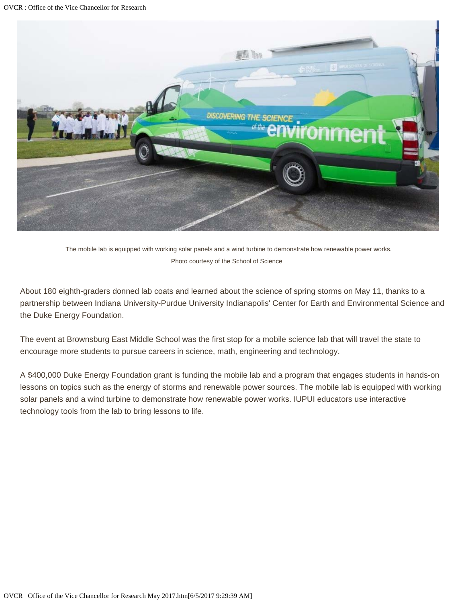

The mobile lab is equipped with working solar panels and a wind turbine to demonstrate how renewable power works. Photo courtesy of the School of Science

About 180 eighth-graders donned lab coats and learned about the science of spring storms on May 11, thanks to a partnership between Indiana University-Purdue University Indianapolis' Center for Earth and Environmental Science and the Duke Energy Foundation.

The event at Brownsburg East Middle School was the first stop for a mobile science lab that will travel the state to encourage more students to pursue careers in science, math, engineering and technology.

A \$400,000 Duke Energy Foundation grant is funding the mobile lab and a program that engages students in hands-on lessons on topics such as the energy of storms and renewable power sources. The mobile lab is equipped with working solar panels and a wind turbine to demonstrate how renewable power works. IUPUI educators use interactive technology tools from the lab to bring lessons to life.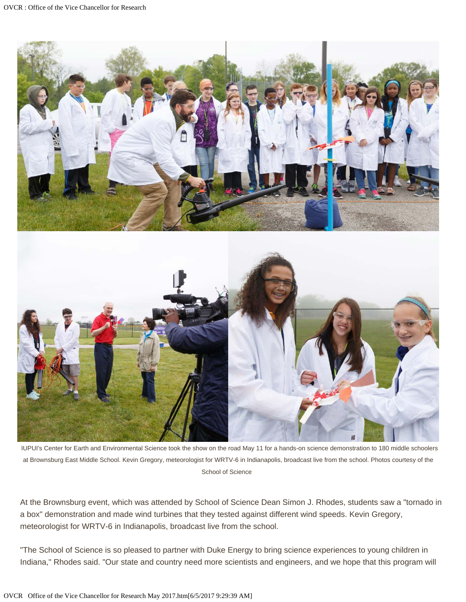



IUPUI's Center for Earth and Environmental Science took the show on the road May 11 for a hands-on science demonstration to 180 middle schoolers at Brownsburg East Middle School. Kevin Gregory, meteorologist for WRTV-6 in Indianapolis, broadcast live from the school. Photos courtesy of the School of Science

At the Brownsburg event, which was attended by School of Science Dean Simon J. Rhodes, students saw a "tornado in a box" demonstration and made wind turbines that they tested against different wind speeds. Kevin Gregory, meteorologist for WRTV-6 in Indianapolis, broadcast live from the school.

"The School of Science is so pleased to partner with Duke Energy to bring science experiences to young children in Indiana," Rhodes said. "Our state and country need more scientists and engineers, and we hope that this program will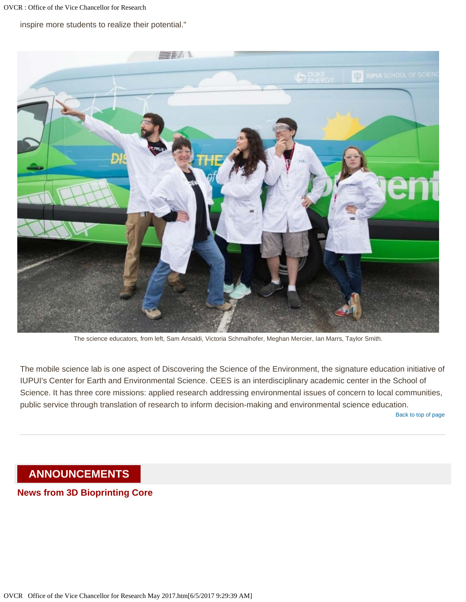inspire more students to realize their potential."



The science educators, from left, Sam Ansaldi, Victoria Schmalhofer, Meghan Mercier, Ian Marrs, Taylor Smith.

The mobile science lab is one aspect of Discovering the Science of the Environment, the signature education initiative of IUPUI's Center for Earth and Environmental Science. CEES is an interdisciplinary academic center in the School of Science. It has three core missions: applied research addressing environmental issues of concern to local communities, public service through translation of research to inform decision-making and environmental science education.

[Back to top of page](#page-0-2)

## <span id="page-3-0"></span>**ANNOUNCEMENTS**

**News from 3D Bioprinting Core**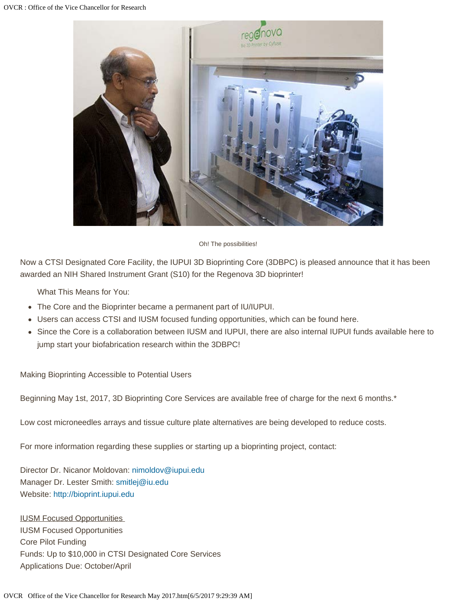

Oh! The possibilities!

Now a CTSI Designated Core Facility, the IUPUI 3D Bioprinting Core (3DBPC) is pleased announce that it has been awarded an NIH Shared Instrument Grant (S10) for the Regenova 3D bioprinter!

What This Means for You:

- The Core and the Bioprinter became a permanent part of IU/IUPUI.
- Users can access CTSI and IUSM focused funding opportunities, which can be found here.
- Since the Core is a collaboration between IUSM and IUPUI, there are also internal IUPUI funds available here to jump start your biofabrication research within the 3DBPC!

Making Bioprinting Accessible to Potential Users

Beginning May 1st, 2017, 3D Bioprinting Core Services are available free of charge for the next 6 months.\*

Low cost microneedles arrays and tissue culture plate alternatives are being developed to reduce costs.

For more information regarding these supplies or starting up a bioprinting project, contact:

Director Dr. Nicanor Moldovan: [nimoldov@iupui.edu](mailto:nimoldov@iupui.edu) Manager Dr. Lester Smith: [smitlej@iu.edu](mailto:smitlej@iu.edu) Website: [http://bioprint.iupui.edu](http://bioprint.iupui.edu/)

IUSM Focused Opportunities IUSM Focused Opportunities Core Pilot Funding Funds: Up to \$10,000 in CTSI Designated Core Services Applications Due: October/April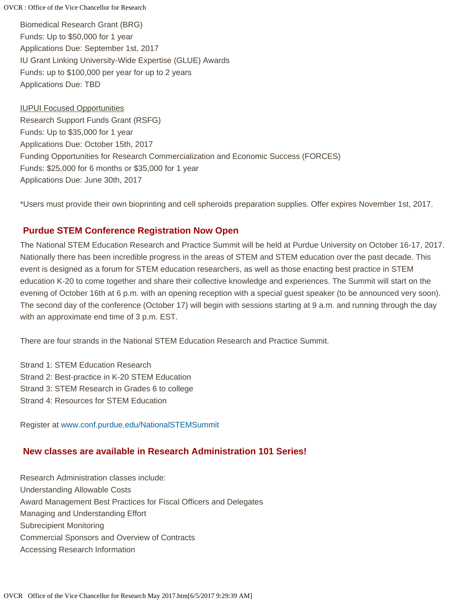Biomedical Research Grant (BRG) Funds: Up to \$50,000 for 1 year Applications Due: September 1st, 2017 IU Grant Linking University-Wide Expertise (GLUE) Awards Funds: up to \$100,000 per year for up to 2 years Applications Due: TBD

IUPUI Focused Opportunities Research Support Funds Grant (RSFG) Funds: Up to \$35,000 for 1 year Applications Due: October 15th, 2017 Funding Opportunities for Research Commercialization and Economic Success (FORCES) Funds: \$25,000 for 6 months or \$35,000 for 1 year Applications Due: June 30th, 2017

\*Users must provide their own bioprinting and cell spheroids preparation supplies. Offer expires November 1st, 2017.

## **Purdue STEM Conference Registration Now Open**

The National STEM Education Research and Practice Summit will be held at Purdue University on October 16-17, 2017. Nationally there has been incredible progress in the areas of STEM and STEM education over the past decade. This event is designed as a forum for STEM education researchers, as well as those enacting best practice in STEM education K-20 to come together and share their collective knowledge and experiences. The Summit will start on the evening of October 16th at 6 p.m. with an opening reception with a special guest speaker (to be announced very soon). The second day of the conference (October 17) will begin with sessions starting at 9 a.m. and running through the day with an approximate end time of 3 p.m. EST.

There are four strands in the National STEM Education Research and Practice Summit.

Strand 1: STEM Education Research Strand 2: Best-practice in K-20 STEM Education Strand 3: STEM Research in Grades 6 to college Strand 4: Resources for STEM Education

Register at [www.conf.purdue.edu/NationalSTEMSummit](file:///C|/Users/ghmobley/Desktop/www.conf.purdue.edu/NationalSTEMSummit)

## **New classes are available in Research Administration 101 Series!**

Research Administration classes include: Understanding Allowable Costs Award Management Best Practices for Fiscal Officers and Delegates Managing and Understanding Effort Subrecipient Monitoring Commercial Sponsors and Overview of Contracts Accessing Research Information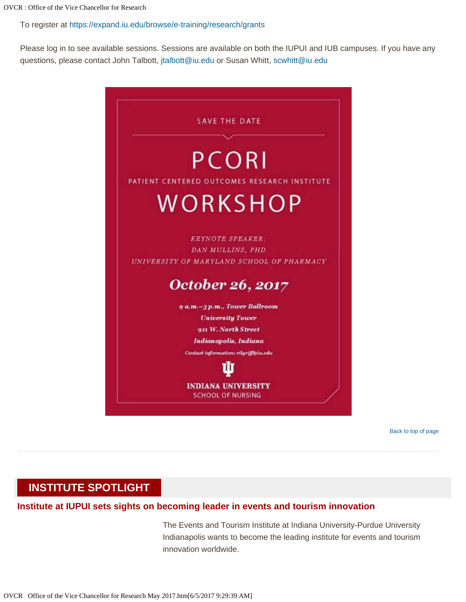To register at<https://expand.iu.edu/browse/e-training/research/grants>

Please log in to see available sessions. Sessions are available on both the IUPUI and IUB campuses. If you have any questions, please contact John Talbott, [jtalbott@iu.edu](mailto:jtalbott@iu.edu) or Susan Whitt, [scwhitt@iu.edu](mailto:scwhitt@iu.edu)



[Back to top of page](#page-0-2)

## <span id="page-6-0"></span>**INSTITUTE SPOTLIGHT**

#### **Institute at IUPUI sets sights on becoming leader in events and tourism innovation**

The Events and Tourism Institute at Indiana University-Purdue University Indianapolis wants to become the leading institute for events and tourism innovation worldwide.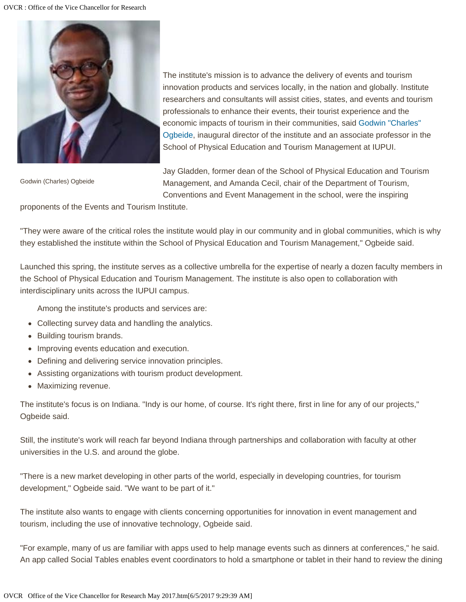

Godwin (Charles) Ogbeide

The institute's mission is to advance the delivery of events and tourism innovation products and services locally, in the nation and globally. Institute researchers and consultants will assist cities, states, and events and tourism professionals to enhance their events, their tourist experience and the economic impacts of tourism in their communities, said [Godwin "Charles"](https://petm.iupui.edu/about/directory/ogbeide-godwin-charles.html) [Ogbeide](https://petm.iupui.edu/about/directory/ogbeide-godwin-charles.html), inaugural director of the institute and an associate professor in the School of Physical Education and Tourism Management at IUPUI.

Jay Gladden, former dean of the School of Physical Education and Tourism Management, and Amanda Cecil, chair of the Department of Tourism, Conventions and Event Management in the school, were the inspiring

proponents of the Events and Tourism Institute.

"They were aware of the critical roles the institute would play in our community and in global communities, which is why they established the institute within the School of Physical Education and Tourism Management," Ogbeide said.

Launched this spring, the institute serves as a collective umbrella for the expertise of nearly a dozen faculty members in the School of Physical Education and Tourism Management. The institute is also open to collaboration with interdisciplinary units across the IUPUI campus.

Among the institute's products and services are:

- Collecting survey data and handling the analytics.
- Building tourism brands.
- Improving events education and execution.
- Defining and delivering service innovation principles.
- Assisting organizations with tourism product development.
- Maximizing revenue.

The institute's focus is on Indiana. "Indy is our home, of course. It's right there, first in line for any of our projects," Ogbeide said.

Still, the institute's work will reach far beyond Indiana through partnerships and collaboration with faculty at other universities in the U.S. and around the globe.

"There is a new market developing in other parts of the world, especially in developing countries, for tourism development," Ogbeide said. "We want to be part of it."

The institute also wants to engage with clients concerning opportunities for innovation in event management and tourism, including the use of innovative technology, Ogbeide said.

"For example, many of us are familiar with apps used to help manage events such as dinners at conferences," he said. An app called Social Tables enables event coordinators to hold a smartphone or tablet in their hand to review the dining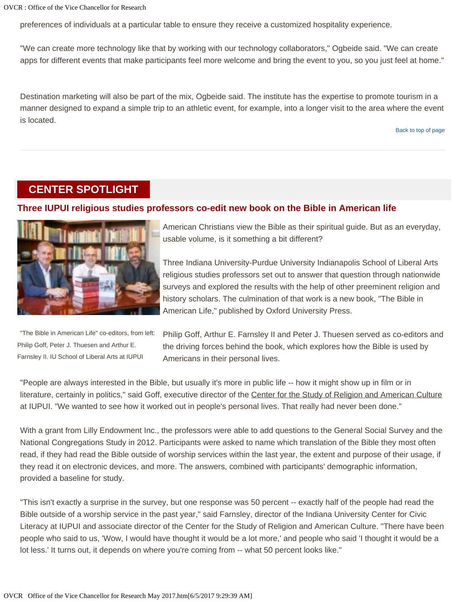preferences of individuals at a particular table to ensure they receive a customized hospitality experience.

"We can create more technology like that by working with our technology collaborators," Ogbeide said. "We can create apps for different events that make participants feel more welcome and bring the event to you, so you just feel at home."

Destination marketing will also be part of the mix, Ogbeide said. The institute has the expertise to promote tourism in a manner designed to expand a simple trip to an athletic event, for example, into a longer visit to the area where the event is located.

#### [Back to top of page](#page-0-2)

## <span id="page-8-0"></span>**CENTER SPOTLIGHT**

#### **Three IUPUI religious studies professors co-edit new book on the Bible in American life**



American Christians view the Bible as their spiritual guide. But as an everyday, usable volume, is it something a bit different?

Three Indiana University-Purdue University Indianapolis School of Liberal Arts religious studies professors set out to answer that question through nationwide surveys and explored the results with the help of other preeminent religion and history scholars. The culmination of that work is a new book, "The Bible in American Life," published by Oxford University Press.

"The Bible in American Life" co-editors, from left: Philip Goff, Peter J. Thuesen and Arthur E. Farnsley II. IU School of Liberal Arts at IUPUI

Philip Goff, Arthur E. Farnsley II and Peter J. Thuesen served as co-editors and the driving forces behind the book, which explores how the Bible is used by Americans in their personal lives.

"People are always interested in the Bible, but usually it's more in public life -- how it might show up in film or in literature, certainly in politics," said Goff, executive director of the Center for the Study of Religion and American Culture at IUPUI. "We wanted to see how it worked out in people's personal lives. That really had never been done."

With a grant from Lilly Endowment Inc., the professors were able to add questions to the General Social Survey and the National Congregations Study in 2012. Participants were asked to name which translation of the Bible they most often read, if they had read the Bible outside of worship services within the last year, the extent and purpose of their usage, if they read it on electronic devices, and more. The answers, combined with participants' demographic information, provided a baseline for study.

"This isn't exactly a surprise in the survey, but one response was 50 percent -- exactly half of the people had read the Bible outside of a worship service in the past year," said Farnsley, director of the Indiana University Center for Civic Literacy at IUPUI and associate director of the Center for the Study of Religion and American Culture. "There have been people who said to us, 'Wow, I would have thought it would be a lot more,' and people who said 'I thought it would be a lot less.' It turns out, it depends on where you're coming from -- what 50 percent looks like."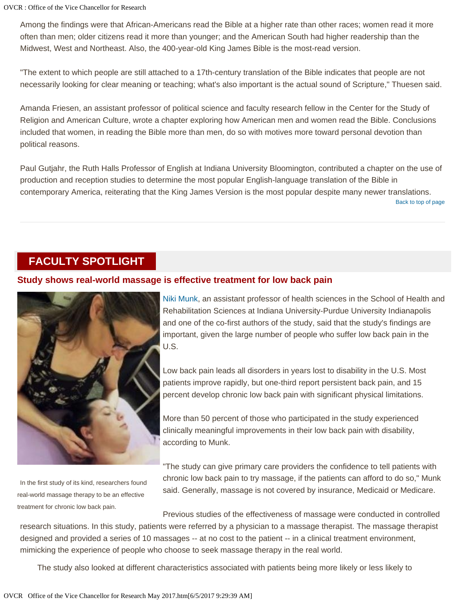Among the findings were that African-Americans read the Bible at a higher rate than other races; women read it more often than men; older citizens read it more than younger; and the American South had higher readership than the Midwest, West and Northeast. Also, the 400-year-old King James Bible is the most-read version.

"The extent to which people are still attached to a 17th-century translation of the Bible indicates that people are not necessarily looking for clear meaning or teaching; what's also important is the actual sound of Scripture," Thuesen said.

Amanda Friesen, an assistant professor of political science and faculty research fellow in the Center for the Study of Religion and American Culture, wrote a chapter exploring how American men and women read the Bible. Conclusions included that women, in reading the Bible more than men, do so with motives more toward personal devotion than political reasons.

[Back to top of page](#page-0-2) Paul Gutjahr, the Ruth Halls Professor of English at Indiana University Bloomington, contributed a chapter on the use of production and reception studies to determine the most popular English-language translation of the Bible in contemporary America, reiterating that the King James Version is the most popular despite many newer translations.

## <span id="page-9-0"></span>**FACULTY SPOTLIGHT**

#### **Study shows real-world massage is effective treatment for low back pain**



In the first study of its kind, researchers found real-world massage therapy to be an effective treatment for chronic low back pain.

[Niki Munk](https://shrs.iupui.edu/faculty-research/directory/health-sciences/munk-niki.html), an assistant professor of health sciences in the School of Health and Rehabilitation Sciences at Indiana University-Purdue University Indianapolis and one of the co-first authors of the study, said that the study's findings are important, given the large number of people who suffer low back pain in the U.S.

Low back pain leads all disorders in years lost to disability in the U.S. Most patients improve rapidly, but one-third report persistent back pain, and 15 percent develop chronic low back pain with significant physical limitations.

More than 50 percent of those who participated in the study experienced clinically meaningful improvements in their low back pain with disability, according to Munk.

"The study can give primary care providers the confidence to tell patients with chronic low back pain to try massage, if the patients can afford to do so," Munk said. Generally, massage is not covered by insurance, Medicaid or Medicare.

Previous studies of the effectiveness of massage were conducted in controlled research situations. In this study, patients were referred by a physician to a massage therapist. The massage therapist designed and provided a series of 10 massages -- at no cost to the patient -- in a clinical treatment environment, mimicking the experience of people who choose to seek massage therapy in the real world.

The study also looked at different characteristics associated with patients being more likely or less likely to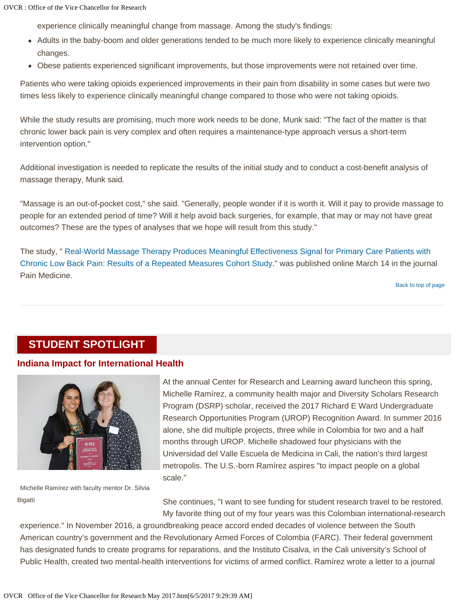experience clinically meaningful change from massage. Among the study's findings:

- Adults in the baby-boom and older generations tended to be much more likely to experience clinically meaningful changes.
- Obese patients experienced significant improvements, but those improvements were not retained over time.

Patients who were taking opioids experienced improvements in their pain from disability in some cases but were two times less likely to experience clinically meaningful change compared to those who were not taking opioids.

While the study results are promising, much more work needs to be done, Munk said: "The fact of the matter is that chronic lower back pain is very complex and often requires a maintenance-type approach versus a short-term intervention option."

Additional investigation is needed to replicate the results of the initial study and to conduct a cost-benefit analysis of massage therapy, Munk said.

"Massage is an out-of-pocket cost," she said. "Generally, people wonder if it is worth it. Will it pay to provide massage to people for an extended period of time? Will it help avoid back surgeries, for example, that may or may not have great outcomes? These are the types of analyses that we hope will result from this study."

The study, ["](https://academic.oup.com/painmedicine/article/3069964/Real-World-Massage-Therapy-Produces-Meaningful) [Real-World Massage Therapy Produces Meaningful Effectiveness Signal for Primary Care Patients with](https://academic.oup.com/painmedicine/article/3069964/Real-World-Massage-Therapy-Produces-Meaningful) [Chronic Low Back Pain: Results of a Repeated Measures Cohort Study.](https://academic.oup.com/painmedicine/article/3069964/Real-World-Massage-Therapy-Produces-Meaningful)" was published online March 14 in the journal Pain Medicine.

[Back to top of page](#page-0-2)

## <span id="page-10-0"></span>**STUDENT SPOTLIGHT**

#### **Indiana Impact for International Health**



At the annual Center for Research and Learning award luncheon this spring, Michelle Ramírez, a community health major and Diversity Scholars Research Program (DSRP) scholar, received the 2017 Richard E Ward Undergraduate Research Opportunities Program (UROP) Recognition Award. In summer 2016 alone, she did multiple projects, three while in Colombia for two and a half months through UROP. Michelle shadowed four physicians with the Universidad del Valle Escuela de Medicina in Cali, the nation's third largest metropolis. The U.S.-born Ramírez aspires "to impact people on a global scale."

Michelle Ramírez with faculty mentor Dr. Silvia Bigatti

She continues, "I want to see funding for student research travel to be restored. My favorite thing out of my four years was this Colombian international-research

experience." In November 2016, a groundbreaking peace accord ended decades of violence between the South American country's government and the Revolutionary Armed Forces of Colombia (FARC). Their federal government has designated funds to create programs for reparations, and the Instituto Cisalva, in the Cali university's School of Public Health, created two mental-health interventions for victims of armed conflict. Ramírez wrote a letter to a journal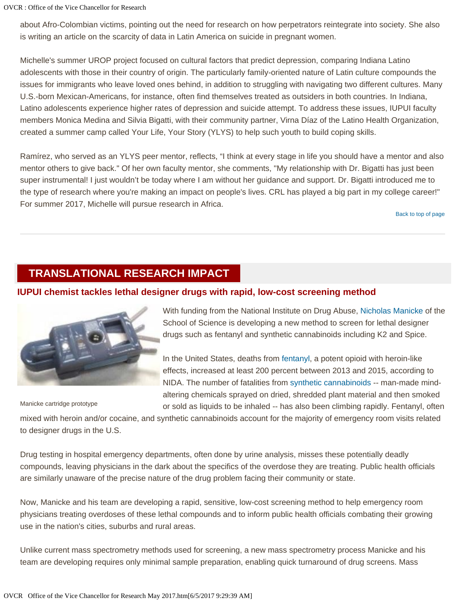about Afro-Colombian victims, pointing out the need for research on how perpetrators reintegrate into society. She also is writing an article on the scarcity of data in Latin America on suicide in pregnant women.

Michelle's summer UROP project focused on cultural factors that predict depression, comparing Indiana Latino adolescents with those in their country of origin. The particularly family-oriented nature of Latin culture compounds the issues for immigrants who leave loved ones behind, in addition to struggling with navigating two different cultures. Many U.S.-born Mexican-Americans, for instance, often find themselves treated as outsiders in both countries. In Indiana, Latino adolescents experience higher rates of depression and suicide attempt. To address these issues, IUPUI faculty members Monica Medina and Silvia Bigatti, with their community partner, Virna Díaz of the Latino Health Organization, created a summer camp called Your Life, Your Story (YLYS) to help such youth to build coping skills.

Ramírez, who served as an YLYS peer mentor, reflects, "I think at every stage in life you should have a mentor and also mentor others to give back." Of her own faculty mentor, she comments, "My relationship with Dr. Bigatti has just been super instrumental! I just wouldn't be today where I am without her guidance and support. Dr. Bigatti introduced me to the type of research where you're making an impact on people's lives. CRL has played a big part in my college career!" For summer 2017, Michelle will pursue research in Africa.

[Back to top of page](#page-0-2)

## <span id="page-11-0"></span>**TRANSLATIONAL RESEARCH IMPACT**

#### **IUPUI chemist tackles lethal designer drugs with rapid, low-cost screening method**



Manicke cartridge prototype

With funding from the National Institute on Drug Abuse, [Nicholas Manicke](http://science.iupui.edu/people/nicholas-manicke) of the School of Science is developing a new method to screen for lethal designer drugs such as fentanyl and synthetic cannabinoids including K2 and Spice.

In the United States, deaths from [fentanyl](https://www.drugabuse.gov/drugs-abuse/fentanyl), a potent opioid with heroin-like effects, increased at least 200 percent between 2013 and 2015, according to NIDA. The number of fatalities from [synthetic cannabinoids](https://www.drugabuse.gov/publications/drugfacts/synthetic-cannabinoids) -- man-made mindaltering chemicals sprayed on dried, shredded plant material and then smoked or sold as liquids to be inhaled -- has also been climbing rapidly. Fentanyl, often

mixed with heroin and/or cocaine, and synthetic cannabinoids account for the majority of emergency room visits related to designer drugs in the U.S.

Drug testing in hospital emergency departments, often done by urine analysis, misses these potentially deadly compounds, leaving physicians in the dark about the specifics of the overdose they are treating. Public health officials are similarly unaware of the precise nature of the drug problem facing their community or state.

Now, Manicke and his team are developing a rapid, sensitive, low-cost screening method to help emergency room physicians treating overdoses of these lethal compounds and to inform public health officials combating their growing use in the nation's cities, suburbs and rural areas.

Unlike current mass spectrometry methods used for screening, a new mass spectrometry process Manicke and his team are developing requires only minimal sample preparation, enabling quick turnaround of drug screens. Mass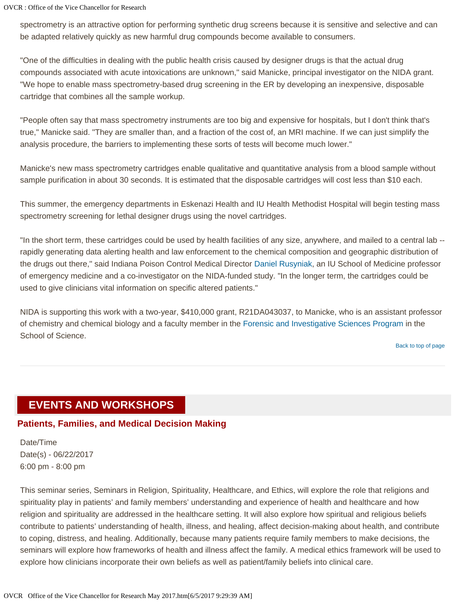spectrometry is an attractive option for performing synthetic drug screens because it is sensitive and selective and can be adapted relatively quickly as new harmful drug compounds become available to consumers.

"One of the difficulties in dealing with the public health crisis caused by designer drugs is that the actual drug compounds associated with acute intoxications are unknown," said Manicke, principal investigator on the NIDA grant. "We hope to enable mass spectrometry-based drug screening in the ER by developing an inexpensive, disposable cartridge that combines all the sample workup.

"People often say that mass spectrometry instruments are too big and expensive for hospitals, but I don't think that's true," Manicke said. "They are smaller than, and a fraction of the cost of, an MRI machine. If we can just simplify the analysis procedure, the barriers to implementing these sorts of tests will become much lower."

Manicke's new mass spectrometry cartridges enable qualitative and quantitative analysis from a blood sample without sample purification in about 30 seconds. It is estimated that the disposable cartridges will cost less than \$10 each.

This summer, the emergency departments in Eskenazi Health and IU Health Methodist Hospital will begin testing mass spectrometry screening for lethal designer drugs using the novel cartridges.

"In the short term, these cartridges could be used by health facilities of any size, anywhere, and mailed to a central lab - rapidly generating data alerting health and law enforcement to the chemical composition and geographic distribution of the drugs out there," said Indiana Poison Control Medical Director [Daniel Rusyniak](http://emergency.medicine.iu.edu/people1/faculty/dan-rusyniak-md/), an IU School of Medicine professor of emergency medicine and a co-investigator on the NIDA-funded study. "In the longer term, the cartridges could be used to give clinicians vital information on specific altered patients."

NIDA is supporting this work with a two-year, \$410,000 grant, R21DA043037, to Manicke, who is an assistant professor of chemistry and chemical biology and a faculty member in the Forensic and Investigative Sciences Program in the School of Science.

[Back to top of page](#page-0-2)

## <span id="page-12-0"></span>**EVENTS AND WORKSHOPS**

## **Patients, Families, and Medical Decision Making**

Date/Time Date(s) - 06/22/2017 6:00 pm - 8:00 pm

This seminar series, Seminars in Religion, Spirituality, Healthcare, and Ethics, will explore the role that religions and spirituality play in patients' and family members' understanding and experience of health and healthcare and how religion and spirituality are addressed in the healthcare setting. It will also explore how spiritual and religious beliefs contribute to patients' understanding of health, illness, and healing, affect decision-making about health, and contribute to coping, distress, and healing. Additionally, because many patients require family members to make decisions, the seminars will explore how frameworks of health and illness affect the family. A medical ethics framework will be used to explore how clinicians incorporate their own beliefs as well as patient/family beliefs into clinical care.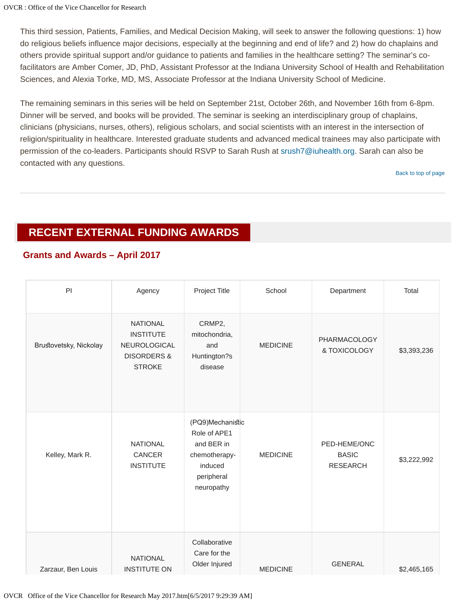This third session, Patients, Families, and Medical Decision Making, will seek to answer the following questions: 1) how do religious beliefs influence major decisions, especially at the beginning and end of life? and 2) how do chaplains and others provide spiritual support and/or guidance to patients and families in the healthcare setting? The seminar's cofacilitators are Amber Comer, JD, PhD, Assistant Professor at the Indiana University School of Health and Rehabilitation Sciences, and Alexia Torke, MD, MS, Associate Professor at the Indiana University School of Medicine.

The remaining seminars in this series will be held on September 21st, October 26th, and November 16th from 6-8pm. Dinner will be served, and books will be provided. The seminar is seeking an interdisciplinary group of chaplains, clinicians (physicians, nurses, others), religious scholars, and social scientists with an interest in the intersection of religion/spirituality in healthcare. Interested graduate students and advanced medical trainees may also participate with permission of the co-leaders. Participants should RSVP to Sarah Rush at [srush7@iuhealth.org](mailto:srush7@iuhealth.org). Sarah can also be contacted with any questions.

[Back to top of page](#page-0-2)

# <span id="page-13-0"></span>**RECENT EXTERNAL FUNDING AWARDS**

## **Grants and Awards – April 2017**

| P                      | Agency                                                                                         | Project Title                                                                                          | School          | Department                                      | Total       |
|------------------------|------------------------------------------------------------------------------------------------|--------------------------------------------------------------------------------------------------------|-----------------|-------------------------------------------------|-------------|
| Brustovetsky, Nickolay | <b>NATIONAL</b><br><b>INSTITUTE</b><br>NEUROLOGICAL<br><b>DISORDERS &amp;</b><br><b>STROKE</b> | CRMP2,<br>mitochondria,<br>and<br>Huntington?s<br>disease                                              | <b>MEDICINE</b> | PHARMACOLOGY<br>& TOXICOLOGY                    | \$3,393,236 |
| Kelley, Mark R.        | <b>NATIONAL</b><br>CANCER<br><b>INSTITUTE</b>                                                  | (PQ9)Mechanistic<br>Role of APE1<br>and BER in<br>chemotherapy-<br>induced<br>peripheral<br>neuropathy | <b>MEDICINE</b> | PED-HEME/ONC<br><b>BASIC</b><br><b>RESEARCH</b> | \$3,222,992 |
| Zarzaur, Ben Louis     | <b>NATIONAL</b><br><b>INSTITUTE ON</b>                                                         | Collaborative<br>Care for the<br>Older Injured                                                         | <b>MEDICINE</b> | <b>GENERAL</b>                                  | \$2,465,165 |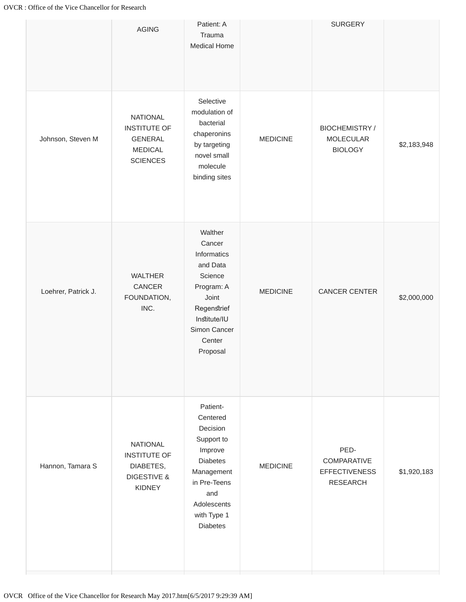|                     | <b>AGING</b>                                                                                   | Patient: A<br>Trauma<br>Medical Home                                                                                                                               |                 | <b>SURGERY</b>                                                 |             |
|---------------------|------------------------------------------------------------------------------------------------|--------------------------------------------------------------------------------------------------------------------------------------------------------------------|-----------------|----------------------------------------------------------------|-------------|
| Johnson, Steven M   | <b>NATIONAL</b><br><b>INSTITUTE OF</b><br><b>GENERAL</b><br><b>MEDICAL</b><br><b>SCIENCES</b>  | Selective<br>modulation of<br>bacterial<br>chaperonins<br>by targeting<br>novel small<br>molecule<br>binding sites                                                 | <b>MEDICINE</b> | <b>BIOCHEMISTRY/</b><br><b>MOLECULAR</b><br><b>BIOLOGY</b>     | \$2,183,948 |
| Loehrer, Patrick J. | <b>WALTHER</b><br>CANCER<br>FOUNDATION,<br>INC.                                                | Walther<br>Cancer<br>Informatics<br>and Data<br>Science<br>Program: A<br>Joint<br>Regenstrief<br>Institute/IU<br>Simon Cancer<br>Center<br>Proposal                | <b>MEDICINE</b> | CANCER CENTER                                                  | \$2,000,000 |
| Hannon, Tamara S    | <b>NATIONAL</b><br><b>INSTITUTE OF</b><br>DIABETES,<br><b>DIGESTIVE &amp;</b><br><b>KIDNEY</b> | Patient-<br>Centered<br>Decision<br>Support to<br>Improve<br><b>Diabetes</b><br>Management<br>in Pre-Teens<br>and<br>Adolescents<br>with Type 1<br><b>Diabetes</b> | <b>MEDICINE</b> | PED-<br>COMPARATIVE<br><b>EFFECTIVENESS</b><br><b>RESEARCH</b> | \$1,920,183 |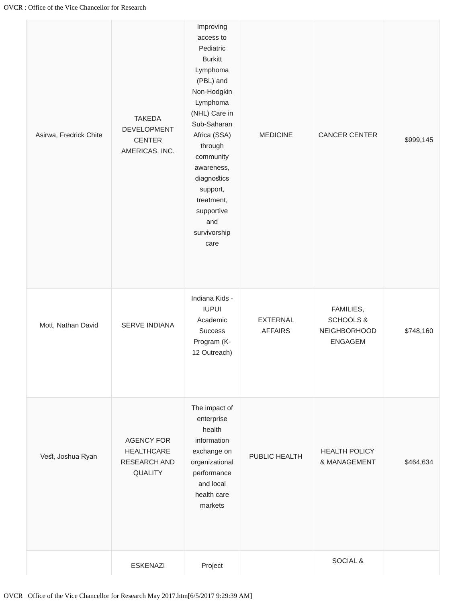| Asirwa, Fredrick Chite | <b>TAKEDA</b><br>DEVELOPMENT<br><b>CENTER</b><br>AMERICAS, INC.          | Improving<br>access to<br>Pediatric<br><b>Burkitt</b><br>Lymphoma<br>(PBL) and<br>Non-Hodgkin<br>Lymphoma<br>(NHL) Care in<br>Sub-Saharan<br>Africa (SSA)<br>through<br>community<br>awareness,<br>diagnostics<br>support,<br>treatment,<br>supportive<br>and<br>survivorship<br>care | <b>MEDICINE</b>                   | <b>CANCER CENTER</b>                                                       | \$999,145 |
|------------------------|--------------------------------------------------------------------------|---------------------------------------------------------------------------------------------------------------------------------------------------------------------------------------------------------------------------------------------------------------------------------------|-----------------------------------|----------------------------------------------------------------------------|-----------|
| Mott, Nathan David     | SERVE INDIANA                                                            | Indiana Kids -<br><b>IUPUI</b><br>Academic<br><b>Success</b><br>Program (K-<br>12 Outreach)                                                                                                                                                                                           | <b>EXTERNAL</b><br><b>AFFAIRS</b> | FAMILIES,<br><b>SCHOOLS &amp;</b><br><b>NEIGHBORHOOD</b><br><b>ENGAGEM</b> | \$748,160 |
| Vest, Joshua Ryan      | <b>AGENCY FOR</b><br><b>HEALTHCARE</b><br>RESEARCH AND<br><b>QUALITY</b> | The impact of<br>enterprise<br>health<br>information<br>exchange on<br>organizational<br>performance<br>and local<br>health care<br>markets                                                                                                                                           | PUBLIC HEALTH                     | <b>HEALTH POLICY</b><br>& MANAGEMENT                                       | \$464,634 |
|                        | <b>ESKENAZI</b>                                                          | Project                                                                                                                                                                                                                                                                               |                                   | SOCIAL &                                                                   |           |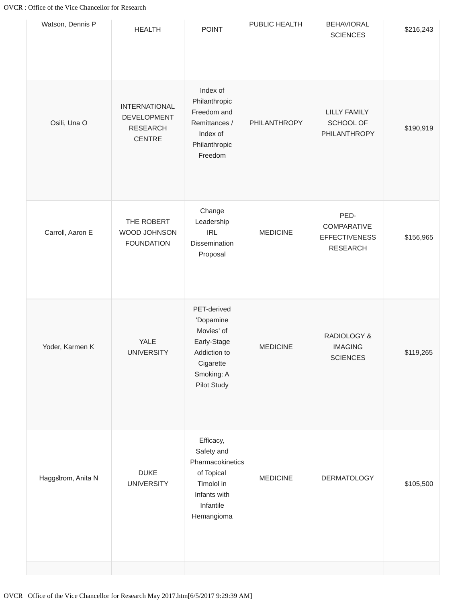| Watson, Dennis P   | <b>HEALTH</b>                                                                  | <b>POINT</b>                                                                                                       | PUBLIC HEALTH   | <b>BEHAVIORAL</b><br><b>SCIENCES</b>                           | \$216,243 |
|--------------------|--------------------------------------------------------------------------------|--------------------------------------------------------------------------------------------------------------------|-----------------|----------------------------------------------------------------|-----------|
| Osili, Una O       | <b>INTERNATIONAL</b><br><b>DEVELOPMENT</b><br><b>RESEARCH</b><br><b>CENTRE</b> | Index of<br>Philanthropic<br>Freedom and<br>Remittances /<br>Index of<br>Philanthropic<br>Freedom                  | PHILANTHROPY    | <b>LILLY FAMILY</b><br>SCHOOL OF<br>PHILANTHROPY               | \$190,919 |
| Carroll, Aaron E   | THE ROBERT<br>WOOD JOHNSON<br><b>FOUNDATION</b>                                | Change<br>Leadership<br><b>IRL</b><br>Dissemination<br>Proposal                                                    | <b>MEDICINE</b> | PED-<br>COMPARATIVE<br><b>EFFECTIVENESS</b><br><b>RESEARCH</b> | \$156,965 |
| Yoder, Karmen K    | YALE<br><b>UNIVERSITY</b>                                                      | PET-derived<br>'Dopamine<br>Movies' of<br>Early-Stage<br>Addiction to<br>Cigarette<br>Smoking: A<br>Pilot Study    | <b>MEDICINE</b> | RADIOLOGY &<br><b>IMAGING</b><br><b>SCIENCES</b>               | \$119,265 |
| Haggstrom, Anita N | <b>DUKE</b><br><b>UNIVERSITY</b>                                               | Efficacy,<br>Safety and<br>Pharmacokinetics<br>of Topical<br>Timolol in<br>Infants with<br>Infantile<br>Hemangioma | <b>MEDICINE</b> | <b>DERMATOLOGY</b>                                             | \$105,500 |
|                    |                                                                                |                                                                                                                    |                 |                                                                |           |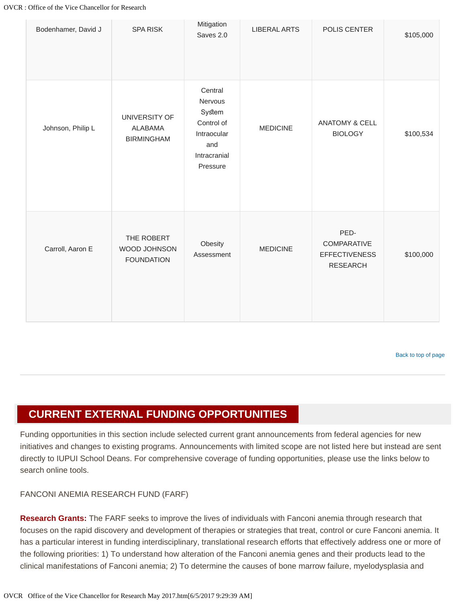| Bodenhamer, David J | <b>SPA RISK</b>                                      | Mitigation<br>Saves 2.0                                                                      | <b>LIBERAL ARTS</b> | POLIS CENTER                                                   | \$105,000 |
|---------------------|------------------------------------------------------|----------------------------------------------------------------------------------------------|---------------------|----------------------------------------------------------------|-----------|
| Johnson, Philip L   | UNIVERSITY OF<br><b>ALABAMA</b><br><b>BIRMINGHAM</b> | Central<br>Nervous<br>System<br>Control of<br>Intraocular<br>and<br>Intracranial<br>Pressure | <b>MEDICINE</b>     | <b>ANATOMY &amp; CELL</b><br><b>BIOLOGY</b>                    | \$100,534 |
| Carroll, Aaron E    | THE ROBERT<br>WOOD JOHNSON<br><b>FOUNDATION</b>      | Obesity<br>Assessment                                                                        | <b>MEDICINE</b>     | PED-<br>COMPARATIVE<br><b>EFFECTIVENESS</b><br><b>RESEARCH</b> | \$100,000 |

[Back to top of page](#page-0-2)

## <span id="page-17-0"></span>**CURRENT EXTERNAL FUNDING OPPORTUNITIES**

Funding opportunities in this section include selected current grant announcements from federal agencies for new initiatives and changes to existing programs. Announcements with limited scope are not listed here but instead are sent directly to IUPUI School Deans. For comprehensive coverage of funding opportunities, please use the links below to search online tools.

#### FANCONI ANEMIA RESEARCH FUND (FARF)

**Research Grants:** The FARF seeks to improve the lives of individuals with Fanconi anemia through research that focuses on the rapid discovery and development of therapies or strategies that treat, control or cure Fanconi anemia. It has a particular interest in funding interdisciplinary, translational research efforts that effectively address one or more of the following priorities: 1) To understand how alteration of the Fanconi anemia genes and their products lead to the clinical manifestations of Fanconi anemia; 2) To determine the causes of bone marrow failure, myelodysplasia and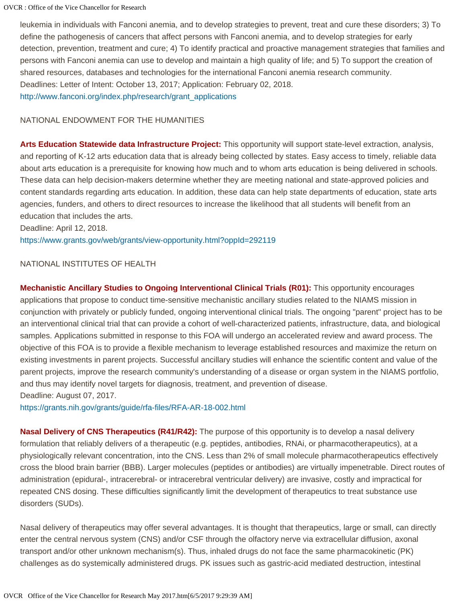leukemia in individuals with Fanconi anemia, and to develop strategies to prevent, treat and cure these disorders; 3) To define the pathogenesis of cancers that affect persons with Fanconi anemia, and to develop strategies for early detection, prevention, treatment and cure; 4) To identify practical and proactive management strategies that families and persons with Fanconi anemia can use to develop and maintain a high quality of life; and 5) To support the creation of shared resources, databases and technologies for the international Fanconi anemia research community. Deadlines: Letter of Intent: October 13, 2017; Application: February 02, 2018. [http://www.fanconi.org/index.php/research/grant\\_applications](http://www.fanconi.org/index.php/research/grant_applications)

#### NATIONAL ENDOWMENT FOR THE HUMANITIES

**Arts Education Statewide data Infrastructure Project:** This opportunity will support state-level extraction, analysis, and reporting of K-12 arts education data that is already being collected by states. Easy access to timely, reliable data about arts education is a prerequisite for knowing how much and to whom arts education is being delivered in schools. These data can help decision-makers determine whether they are meeting national and state-approved policies and content standards regarding arts education. In addition, these data can help state departments of education, state arts agencies, funders, and others to direct resources to increase the likelihood that all students will benefit from an education that includes the arts.

Deadline: April 12, 2018. <https://www.grants.gov/web/grants/view-opportunity.html?oppId=292119>

#### NATIONAL INSTITUTES OF HEALTH

**Mechanistic Ancillary Studies to Ongoing Interventional Clinical Trials (R01):** This opportunity encourages applications that propose to conduct time-sensitive mechanistic ancillary studies related to the NIAMS mission in conjunction with privately or publicly funded, ongoing interventional clinical trials. The ongoing "parent" project has to be an interventional clinical trial that can provide a cohort of well-characterized patients, infrastructure, data, and biological samples. Applications submitted in response to this FOA will undergo an accelerated review and award process. The objective of this FOA is to provide a flexible mechanism to leverage established resources and maximize the return on existing investments in parent projects. Successful ancillary studies will enhance the scientific content and value of the parent projects, improve the research community's understanding of a disease or organ system in the NIAMS portfolio, and thus may identify novel targets for diagnosis, treatment, and prevention of disease. Deadline: August 07, 2017.

<https://grants.nih.gov/grants/guide/rfa-files/RFA-AR-18-002.html>

**Nasal Delivery of CNS Therapeutics (R41/R42):** The purpose of this opportunity is to develop a nasal delivery formulation that reliably delivers of a therapeutic (e.g. peptides, antibodies, RNAi, or pharmacotherapeutics), at a physiologically relevant concentration, into the CNS. Less than 2% of small molecule pharmacotherapeutics effectively cross the blood brain barrier (BBB). Larger molecules (peptides or antibodies) are virtually impenetrable. Direct routes of administration (epidural-, intracerebral- or intracerebral ventricular delivery) are invasive, costly and impractical for repeated CNS dosing. These difficulties significantly limit the development of therapeutics to treat substance use disorders (SUDs).

Nasal delivery of therapeutics may offer several advantages. It is thought that therapeutics, large or small, can directly enter the central nervous system (CNS) and/or CSF through the olfactory nerve via extracellular diffusion, axonal transport and/or other unknown mechanism(s). Thus, inhaled drugs do not face the same pharmacokinetic (PK) challenges as do systemically administered drugs. PK issues such as gastric-acid mediated destruction, intestinal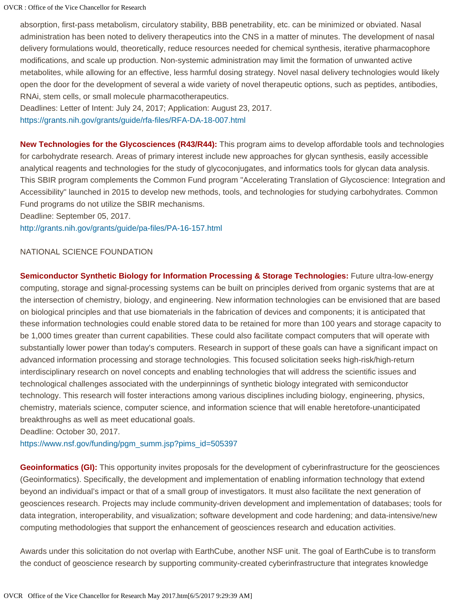absorption, first-pass metabolism, circulatory stability, BBB penetrability, etc. can be minimized or obviated. Nasal administration has been noted to delivery therapeutics into the CNS in a matter of minutes. The development of nasal delivery formulations would, theoretically, reduce resources needed for chemical synthesis, iterative pharmacophore modifications, and scale up production. Non-systemic administration may limit the formation of unwanted active metabolites, while allowing for an effective, less harmful dosing strategy. Novel nasal delivery technologies would likely open the door for the development of several a wide variety of novel therapeutic options, such as peptides, antibodies, RNAi, stem cells, or small molecule pharmacotherapeutics.

Deadlines: Letter of Intent: July 24, 2017; Application: August 23, 2017.

<https://grants.nih.gov/grants/guide/rfa-files/RFA-DA-18-007.html>

**New Technologies for the Glycosciences (R43/R44):** This program aims to develop affordable tools and technologies for carbohydrate research. Areas of primary interest include new approaches for glycan synthesis, easily accessible analytical reagents and technologies for the study of glycoconjugates, and informatics tools for glycan data analysis. This SBIR program complements the Common Fund program "Accelerating Translation of Glycoscience: Integration and Accessibility" launched in 2015 to develop new methods, tools, and technologies for studying carbohydrates. Common Fund programs do not utilize the SBIR mechanisms.

Deadline: September 05, 2017.

<http://grants.nih.gov/grants/guide/pa-files/PA-16-157.html>

#### NATIONAL SCIENCE FOUNDATION

**Semiconductor Synthetic Biology for Information Processing & Storage Technologies:** Future ultra-low-energy computing, storage and signal-processing systems can be built on principles derived from organic systems that are at the intersection of chemistry, biology, and engineering. New information technologies can be envisioned that are based on biological principles and that use biomaterials in the fabrication of devices and components; it is anticipated that these information technologies could enable stored data to be retained for more than 100 years and storage capacity to be 1,000 times greater than current capabilities. These could also facilitate compact computers that will operate with substantially lower power than today's computers. Research in support of these goals can have a significant impact on advanced information processing and storage technologies. This focused solicitation seeks high-risk/high-return interdisciplinary research on novel concepts and enabling technologies that will address the scientific issues and technological challenges associated with the underpinnings of synthetic biology integrated with semiconductor technology. This research will foster interactions among various disciplines including biology, engineering, physics, chemistry, materials science, computer science, and information science that will enable heretofore-unanticipated breakthroughs as well as meet educational goals.

Deadline: October 30, 2017.

[https://www.nsf.gov/funding/pgm\\_summ.jsp?pims\\_id=505397](https://www.nsf.gov/funding/pgm_summ.jsp?pims_id=505397)

**Geoinformatics (GI):** This opportunity invites proposals for the development of cyberinfrastructure for the geosciences (Geoinformatics). Specifically, the development and implementation of enabling information technology that extend beyond an individual's impact or that of a small group of investigators. It must also facilitate the next generation of geosciences research. Projects may include community-driven development and implementation of databases; tools for data integration, interoperability, and visualization; software development and code hardening; and data-intensive/new computing methodologies that support the enhancement of geosciences research and education activities.

Awards under this solicitation do not overlap with EarthCube, another NSF unit. The goal of EarthCube is to transform the conduct of geoscience research by supporting community-created cyberinfrastructure that integrates knowledge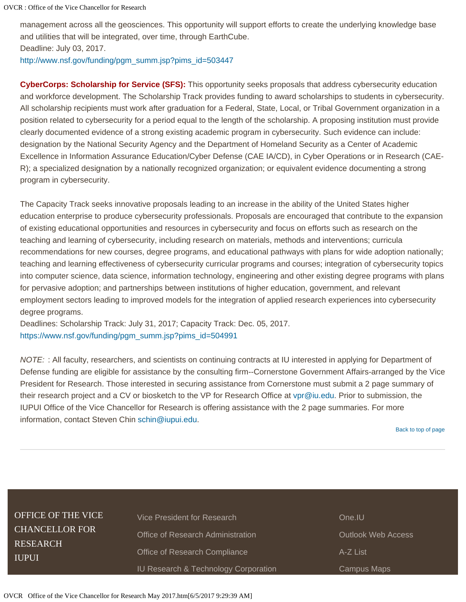management across all the geosciences. This opportunity will support efforts to create the underlying knowledge base and utilities that will be integrated, over time, through EarthCube.

Deadline: July 03, 2017.

[http://www.nsf.gov/funding/pgm\\_summ.jsp?pims\\_id=503447](http://www.nsf.gov/funding/pgm_summ.jsp?pims_id=503447)

**CyberCorps: Scholarship for Service (SFS):** This opportunity seeks proposals that address cybersecurity education and workforce development. The Scholarship Track provides funding to award scholarships to students in cybersecurity. All scholarship recipients must work after graduation for a Federal, State, Local, or Tribal Government organization in a position related to cybersecurity for a period equal to the length of the scholarship. A proposing institution must provide clearly documented evidence of a strong existing academic program in cybersecurity. Such evidence can include: designation by the National Security Agency and the Department of Homeland Security as a Center of Academic Excellence in Information Assurance Education/Cyber Defense (CAE IA/CD), in Cyber Operations or in Research (CAE-R); a specialized designation by a nationally recognized organization; or equivalent evidence documenting a strong program in cybersecurity.

The Capacity Track seeks innovative proposals leading to an increase in the ability of the United States higher education enterprise to produce cybersecurity professionals. Proposals are encouraged that contribute to the expansion of existing educational opportunities and resources in cybersecurity and focus on efforts such as research on the teaching and learning of cybersecurity, including research on materials, methods and interventions; curricula recommendations for new courses, degree programs, and educational pathways with plans for wide adoption nationally; teaching and learning effectiveness of cybersecurity curricular programs and courses; integration of cybersecurity topics into computer science, data science, information technology, engineering and other existing degree programs with plans for pervasive adoption; and partnerships between institutions of higher education, government, and relevant employment sectors leading to improved models for the integration of applied research experiences into cybersecurity degree programs.

Deadlines: Scholarship Track: July 31, 2017; Capacity Track: Dec. 05, 2017. [https://www.nsf.gov/funding/pgm\\_summ.jsp?pims\\_id=504991](https://www.nsf.gov/funding/pgm_summ.jsp?pims_id=504991)

*NOTE:* : All faculty, researchers, and scientists on continuing contracts at IU interested in applying for Department of Defense funding are eligible for assistance by the consulting firm--Cornerstone Government Affairs-arranged by the Vice President for Research. Those interested in securing assistance from Cornerstone must submit a 2 page summary of their research project and a CV or biosketch to the VP for Research Office at [vpr@iu.edu](mailto:vpr@iu.edu). Prior to submission, the IUPUI Office of the Vice Chancellor for Research is offering assistance with the 2 page summaries. For more information, contact Steven Chin [schin@iupui.edu](mailto:schin@iupui.edu).

[Back to top of page](#page-0-2)

**Web Access** 

Maps

| <b>OFFICE OF THE VICE</b><br><b>CHANCELLOR FOR</b><br><b>RESEARCH</b><br><b>IUPUI</b> | Vice President for Research<br><b>Office of Research Administration</b><br>Office of Research Compliance | One.IU<br>Outlook<br>A-Z List |
|---------------------------------------------------------------------------------------|----------------------------------------------------------------------------------------------------------|-------------------------------|
|                                                                                       | IU Research & Technology Corporation                                                                     | Campus                        |
|                                                                                       |                                                                                                          |                               |

OVCR Office of the Vice Chancellor for Research May 2017.htm[6/5/2017 9:29:39 AM]